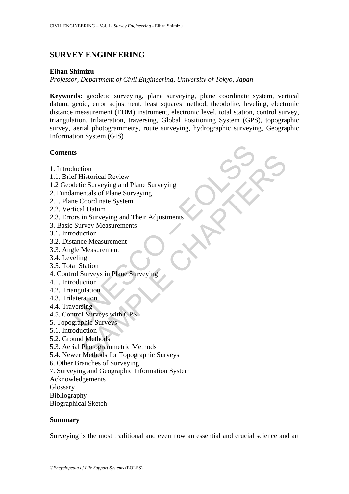# **SURVEY ENGINEERING**

#### **Eihan Shimizu**

*Professor, Department of Civil Engineering, University of Tokyo, Japan* 

**Keywords:** geodetic surveying, plane surveying, plane coordinate system, vertical datum, geoid, error adjustment, least squares method, theodolite, leveling, electronic distance measurement (EDM) instrument, electronic level, total station, control survey, triangulation, trilateration, traversing, Global Positioning System (GPS), topographic survey, aerial photogrammetry, route surveying, hydrographic surveying, Geographic Information System (GIS)

#### **Contents**

- 1. Introduction
- 1.1. Brief Historical Review
- 1.2 Geodetic Surveying and Plane Surveying
- 2. Fundamentals of Plane Surveying
- 2.1. Plane Coordinate System
- 2.2. Vertical Datum
- ts<br>
duction<br>
ef Historical Review<br>
detic Surveying and Plane Surveying<br>
amentals of Plane Surveying<br>
amentals of Plane Surveying<br>
trical Datum<br>
trical Datum<br>
ors in Surveying and Their Adjustments<br>
coluction<br>
gle Measureme tion<br>
distorical Review<br>
ic Surveying and Plane Surveying<br>
entals of Plane Surveying<br>
Coordinate System<br>
In Surveying and Their Adjustments<br>
In Surveying and Their Adjustments<br>
viewy Measurement<br>
Measurement<br>
Measurement<br> 2.3. Errors in Surveying and Their Adjustments
- 3. Basic Survey Measurements
- 3.1. Introduction
- 3.2. Distance Measurement
- 3.3. Angle Measurement
- 3.4. Leveling
- 3.5. Total Station
- 4. Control Surveys in Plane Surveying
- 4.1. Introduction
- 4.2. Triangulation
- 4.3. Trilateration
- 4.4. Traversing
- 4.5. Control Surveys with GPS
- 5. Topographic Surveys
- 5.1. Introduction
- 5.2. Ground Methods
- 5.3. Aerial Photogrammetric Methods
- 5.4. Newer Methods for Topographic Surveys
- 6. Other Branches of Surveying
- 7. Surveying and Geographic Information System
- Acknowledgements

Glossary

Bibliography

Biographical Sketch

#### **Summary**

Surveying is the most traditional and even now an essential and crucial science and art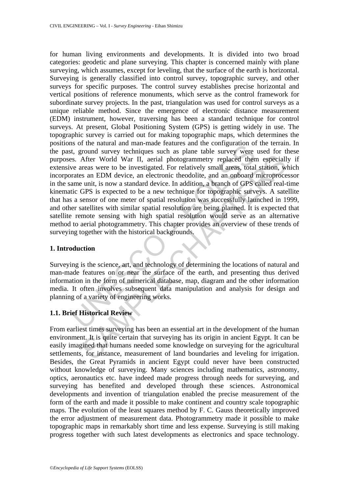So the natural and man-inate relatives also the computation on<br>the computation survey techniques such as plane table survey were<br>exame were to be investigated. For relatively small areas, total<br>rates an EDM device, an elec After World War II, aerial photogrammetry replaced them especiall<br>track After World War II, aerial photogrammetry replaced them especiall<br>treas were to be investigated. For relatively small areas, total station, w<br>s an EDM for human living environments and developments. It is divided into two broad categories: geodetic and plane surveying. This chapter is concerned mainly with plane surveying, which assumes, except for leveling, that the surface of the earth is horizontal. Surveying is generally classified into control survey, topographic survey, and other surveys for specific purposes. The control survey establishes precise horizontal and vertical positions of reference monuments, which serve as the control framework for subordinate survey projects. In the past, triangulation was used for control surveys as a unique reliable method. Since the emergence of electronic distance measurement (EDM) instrument, however, traversing has been a standard technique for control surveys. At present, Global Positioning System (GPS) is getting widely in use. The topographic survey is carried out for making topographic maps, which determines the positions of the natural and man-made features and the configuration of the terrain. In the past, ground survey techniques such as plane table survey were used for these purposes. After World War II, aerial photogrammetry replaced them especially if extensive areas were to be investigated. For relatively small areas, total station, which incorporates an EDM device, an electronic theodolite, and an onboard microprocessor in the same unit, is now a standard device. In addition, a branch of GPS called real-time kinematic GPS is expected to be a new technique for topographic surveys. A satellite that has a sensor of one meter of spatial resolution was successfully launched in 1999, and other satellites with similar spatial resolution are being planned. It is expected that satellite remote sensing with high spatial resolution would serve as an alternative method to aerial photogrammetry. This chapter provides an overview of these trends of surveying together with the historical backgrounds.

# **1. Introduction**

Surveying is the science, art, and technology of determining the locations of natural and man-made features on or near the surface of the earth, and presenting thus derived information in the form of numerical database, map, diagram and the other information media. It often involves subsequent data manipulation and analysis for design and planning of a variety of engineering works.

# **1.1. Brief Historical Review**

From earliest times surveying has been an essential art in the development of the human environment. It is quite certain that surveying has its origin in ancient Egypt. It can be easily imagined that humans needed some knowledge on surveying for the agricultural settlements, for instance, measurement of land boundaries and leveling for irrigation. Besides, the Great Pyramids in ancient Egypt could never have been constructed without knowledge of surveying. Many sciences including mathematics, astronomy, optics, aeronautics etc. have indeed made progress through needs for surveying, and surveying has benefited and developed through these sciences. Astronomical developments and invention of triangulation enabled the precise measurement of the form of the earth and made it possible to make continent and country scale topographic maps. The evolution of the least squares method by F. C. Gauss theoretically improved the error adjustment of measurement data. Photogrammetry made it possible to make topographic maps in remarkably short time and less expense. Surveying is still making progress together with such latest developments as electronics and space technology.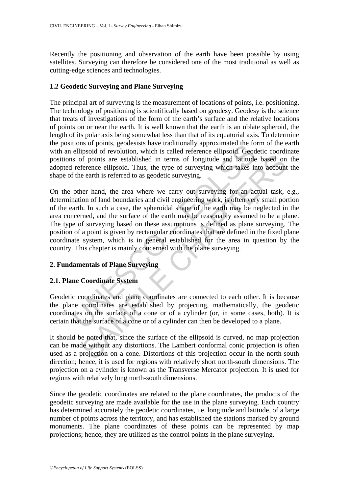Recently the positioning and observation of the earth have been possible by using satellites. Surveying can therefore be considered one of the most traditional as well as cutting-edge sciences and technologies.

# **1.2 Geodetic Surveying and Plane Surveying**

The principal art of surveying is the measurement of locations of points, i.e. positioning. The technology of positioning is scientifically based on geodesy. Geodesy is the science that treats of investigations of the form of the earth's surface and the relative locations of points on or near the earth. It is well known that the earth is an oblate spheroid, the length of its polar axis being somewhat less than that of its equatorial axis. To determine the positions of points, geodesists have traditionally approximated the form of the earth with an ellipsoid of revolution, which is called reference ellipsoid. Geodetic coordinate positions of points are established in terms of longitude and latitude based on the adopted reference ellipsoid. Thus, the type of surveying which takes into account the shape of the earth is referred to as geodetic surveying.

Homos or porms, geousasis nave tantinumal approximated the not<br>ellipsoid of revolution, which is called reference ellipsoid. Geod<br>is of points are established in terms of longitude and latitude<br>reference ellipsoid. Thus, t In the state of a content of a cylinder content in the state of the state with the state with the state with the state of the state and this referred to as geodetic surveying.<br>
Her hand, the area where we carry out surveyi On the other hand, the area where we carry out surveying for an actual task, e.g., determination of land boundaries and civil engineering work, is often very small portion of the earth. In such a case, the spheroidal shape of the earth may be neglected in the area concerned, and the surface of the earth may be reasonably assumed to be a plane. The type of surveying based on these assumptions is defined as plane surveying. The position of a point is given by rectangular coordinates that are defined in the fixed plane coordinate system, which is in general established for the area in question by the country. This chapter is mainly concerned with the plane surveying.

# **2. Fundamentals of Plane Surveying**

# **2.1. Plane Coordinate System**

Geodetic coordinates and plane coordinates are connected to each other. It is because the plane coordinates are established by projecting, mathematically, the geodetic coordinates on the surface of a cone or of a cylinder (or, in some cases, both). It is certain that the surface of a cone or of a cylinder can then be developed to a plane.

It should be noted that, since the surface of the ellipsoid is curved, no map projection can be made without any distortions. The Lambert conformal conic projection is often used as a projection on a cone. Distortions of this projection occur in the north-south direction; hence, it is used for regions with relatively short north-south dimensions. The projection on a cylinder is known as the Transverse Mercator projection. It is used for regions with relatively long north-south dimensions.

Since the geodetic coordinates are related to the plane coordinates, the products of the geodetic surveying are made available for the use in the plane surveying. Each country has determined accurately the geodetic coordinates, i.e. longitude and latitude, of a large number of points across the territory, and has established the stations marked by ground monuments. The plane coordinates of these points can be represented by map projections; hence, they are utilized as the control points in the plane surveying.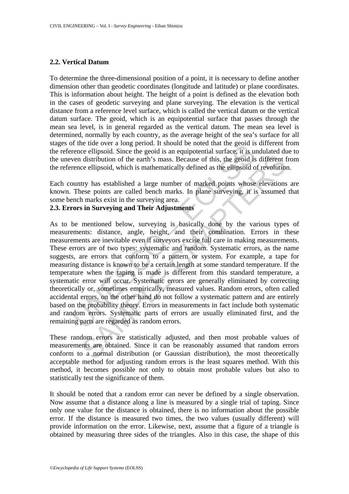# **2.2. Vertical Datum**

To determine the three-dimensional position of a point, it is necessary to define another dimension other than geodetic coordinates (longitude and latitude) or plane coordinates. This is information about height. The height of a point is defined as the elevation both in the cases of geodetic surveying and plane surveying. The elevation is the vertical distance from a reference level surface, which is called the vertical datum or the vertical datum surface. The geoid, which is an equipotential surface that passes through the mean sea level, is in general regarded as the vertical datum. The mean sea level is determined, normally by each country, as the average height of the sea's surface for all stages of the tide over a long period. It should be noted that the geoid is different from the reference ellipsoid. Since the geoid is an equipotential surface, it is undulated due to the uneven distribution of the earth's mass. Because of this, the geoid is different from the reference ellipsoid, which is mathematically defined as the ellipsoid of revolution.

Each country has established a large number of marked points whose elevations are known. These points are called bench marks. In plane surveying, it is assumed that some bench marks exist in the surveying area.

# **2.3. Errors in Surveying and Their Adjustments**

The tute over a rong period. It should be used uat the geont is<br>rencee ellipsoid. Since the geoid is an equipotential surface, it is usen<br>on distribution of the earth's mass. Because of this, the geoid is<br>rence ellipsoid, distribution of the earth's mass. Because of this, the geoid is different for eellipsoid, which is mathematically defined as the geoid is different for eellipsoid, which is mathematically defined as the ellipsoid of revolu As to be mentioned below, surveying is basically done by the various types of measurements: distance, angle, height, and their combination. Errors in these measurements are inevitable even if surveyors excise full care in making measurements. These errors are of two types: systematic and random. Systematic errors, as the name suggests, are errors that conform to a pattern or system. For example, a tape for measuring distance is known to be a certain length at some standard temperature. If the temperature when the taping is made is different from this standard temperature, a systematic error will occur. Systematic errors are generally eliminated by correcting theoretically or, sometimes empirically, measured values. Random errors, often called accidental errors, on the other hand do not follow a systematic pattern and are entirely based on the probability theory. Errors in measurements in fact include both systematic and random errors. Systematic parts of errors are usually eliminated first, and the remaining parts are regarded as random errors.

These random errors are statistically adjusted, and then most probable values of measurements are obtained. Since it can be reasonably assumed that random errors conform to a normal distribution (or Gaussian distribution), the most theoretically acceptable method for adjusting random errors is the least squares method. With this method, it becomes possible not only to obtain most probable values but also to statistically test the significance of them.

It should be noted that a random error can never be defined by a single observation. Now assume that a distance along a line is measured by a single trial of taping. Since only one value for the distance is obtained, there is no information about the possible error. If the distance is measured two times, the two values (usually different) will provide information on the error. Likewise, next, assume that a figure of a triangle is obtained by measuring three sides of the triangles. Also in this case, the shape of this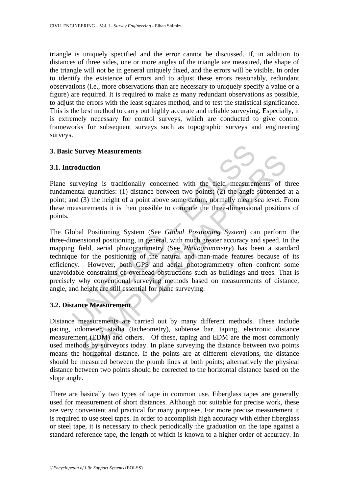triangle is uniquely specified and the error cannot be discussed. If, in addition to distances of three sides, one or more angles of the triangle are measured, the shape of the triangle will not be in general uniquely fixed, and the errors will be visible. In order to identify the existence of errors and to adjust these errors reasonably, redundant observations (i.e., more observations than are necessary to uniquely specify a value or a figure) are required. It is required to make as many redundant observations as possible, to adjust the errors with the least squares method, and to test the statistical significance. This is the best method to carry out highly accurate and reliable surveying. Especially, it is extremely necessary for control surveys, which are conducted to give control frameworks for subsequent surveys such as topographic surveys and engineering surveys.

#### **3. Basic Survey Measurements**

#### **3.1. Introduction**



Plane surveying is traditionally concerned with the field measurements of three fundamental quantities: (1) distance between two points; (2) the angle subtended at a point; and (3) the height of a point above some datum, normally mean sea level. From these measurements it is then possible to compute the three-dimensional positions of points.

Example Survey Measurements<br>
roduction<br>
surveying is traditionally concerned with the field measuremental quantities: (1) distance between two points; (2) the angle<br>
and (3) the height of a point above some datum, normally Interior<br>
weying is traditionally concerned with the field measurements of tal quantities: (1) distance between two points; (2) the angle subtended<br>
(3) the height of a point above some datum, normally mean sea level. Fure The Global Positioning System (See *Global Positioning System*) can perform the three-dimensional positioning, in general, with much greater accuracy and speed. In the mapping field, aerial photogrammetry (See *Photogrammetry*) has been a standard technique for the positioning of the natural and man-made features because of its efficiency. However, both GPS and aerial photogrammetry often confront some unavoidable constraints of overhead obstructions such as buildings and trees. That is precisely why conventional surveying methods based on measurements of distance, angle, and height are still essential for plane surveying.

# **3.2. Distance Measurement**

Distance measurements are carried out by many different methods. These include pacing, odometer, stadia (tacheometry), subtense bar, taping, electronic distance measurement (EDM) and others. Of these, taping and EDM are the most commonly used methods by surveyors today. In plane surveying the distance between two points means the horizontal distance. If the points are at different elevations, the distance should be measured between the plumb lines at both points; alternatively the physical distance between two points should be corrected to the horizontal distance based on the slope angle.

There are basically two types of tape in common use. Fiberglass tapes are generally used for measurement of short distances. Although not suitable for precise work, these are very convenient and practical for many purposes. For more precise measurement it is required to use steel tapes. In order to accomplish high accuracy with either fiberglass or steel tape, it is necessary to check periodically the graduation on the tape against a standard reference tape, the length of which is known to a higher order of accuracy. In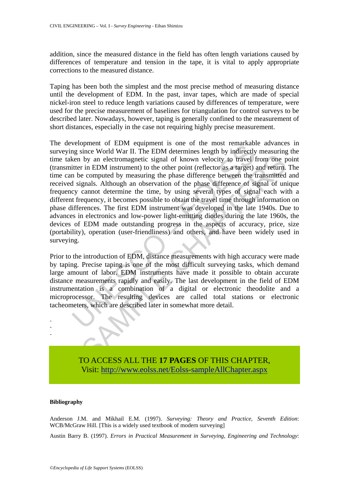addition, since the measured distance in the field has often length variations caused by differences of temperature and tension in the tape, it is vital to apply appropriate corrections to the measured distance.

Taping has been both the simplest and the most precise method of measuring distance until the development of EDM. In the past, invar tapes, which are made of special nickel-iron steel to reduce length variations caused by differences of temperature, were used for the precise measurement of baselines for triangulation for control surveys to be described later. Nowadays, however, taping is generally confined to the measurement of short distances, especially in the case not requiring highly precise measurement.

benefit of EDM equipment is one of the most remarkant of EDM determines length by indirectly<br>ing since World War II. The EDM determines length by indirectly<br>teen by an electromagnetic signal of known velocity to travel f<br>i by an electromagnetic signal of known velocity to travel from one p<br>in EDM instrument) to the other point (reflector as a target) and return,<br>e computed by measuring the phase difference between the transmitted<br>gnals. Alt The development of EDM equipment is one of the most remarkable advances in surveying since World War II. The EDM determines length by indirectly measuring the time taken by an electromagnetic signal of known velocity to travel from one point (transmitter in EDM instrument) to the other point (reflector as a target) and return. The time can be computed by measuring the phase difference between the transmitted and received signals. Although an observation of the phase difference of signal of unique frequency cannot determine the time, by using several types of signal each with a different frequency, it becomes possible to obtain the travel time through information on phase differences. The first EDM instrument was developed in the late 1940s. Due to advances in electronics and low-power light-emitting diodes during the late 1960s, the devices of EDM made outstanding progress in the aspects of accuracy, price, size (portability), operation (user-friendliness) and others, and have been widely used in surveying.

Prior to the introduction of EDM, distance measurements with high accuracy were made by taping. Precise taping is one of the most difficult surveying tasks, which demand large amount of labor. EDM instruments have made it possible to obtain accurate distance measurements rapidly and easily. The last development in the field of EDM instrumentation is a combination of a digital or electronic theodolite and a microprocessor. The resulting devices are called total stations or electronic tacheometers, which are described later in somewhat more detail.



TO ACCESS ALL THE **17 PAGES** OF THIS CHAPTER, Visit[: http://www.eolss.net/Eolss-sampleAllChapter.aspx](https://www.eolss.net/ebooklib/sc_cart.aspx?File=E6-37-02)

#### **Bibliography**

Anderson J.M. and Mikhail E.M. (1997). *Surveying: Theory and Practice, Seventh Edition*: WCB/McGraw Hill. [This is a widely used textbook of modern surveying]

Austin Barry B. (1997). *Errors in Practical Measurement in Surveying, Engineering and Technology*: